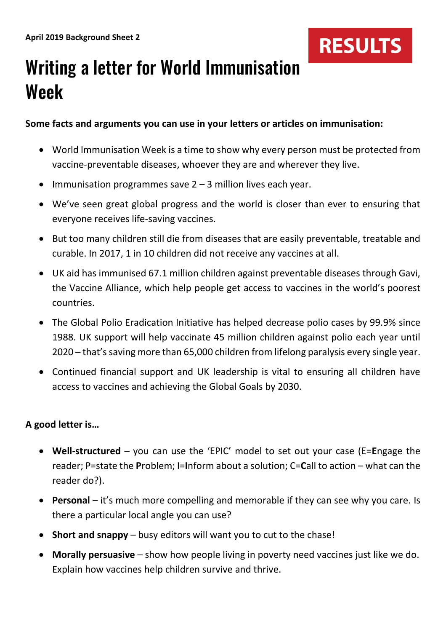

# Writing a letter for World Immunisation Week

### **Some facts and arguments you can use in your letters or articles on immunisation:**

- World Immunisation Week is a time to show why every person must be protected from vaccine-preventable diseases, whoever they are and wherever they live.
- Immunisation programmes save  $2 3$  million lives each year.
- We've seen great global progress and the world is closer than ever to ensuring that everyone receives life-saving vaccines.
- But too many children still die from diseases that are easily preventable, treatable and curable. In 2017, 1 in 10 children did not receive any vaccines at all.
- UK aid has immunised 67.1 million children against preventable diseases through Gavi, the Vaccine Alliance, which help people get access to vaccines in the world's poorest countries.
- The Global Polio Eradication Initiative has helped decrease polio cases by 99.9% since 1988. UK support will help vaccinate 45 million children against polio each year until 2020 – that's saving more than 65,000 children from lifelong paralysis every single year.
- Continued financial support and UK leadership is vital to ensuring all children have access to vaccines and achieving the Global Goals by 2030.

# **A good letter is…**

- **Well-structured** you can use the 'EPIC' model to set out your case (E=**E**ngage the reader; P=state the **P**roblem; I=**I**nform about a solution; C=**C**all to action – what can the reader do?).
- **Personal**  it's much more compelling and memorable if they can see why you care. Is there a particular local angle you can use?
- **Short and snappy** busy editors will want you to cut to the chase!
- **Morally persuasive** show how people living in poverty need vaccines just like we do. Explain how vaccines help children survive and thrive.